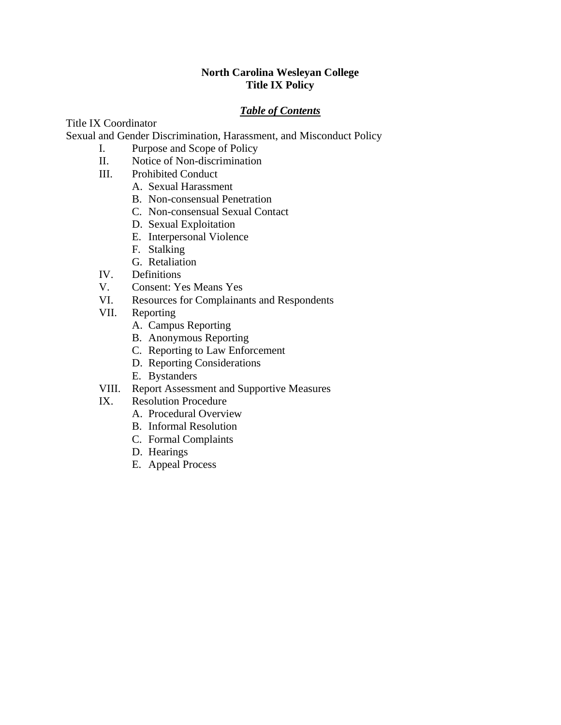# **North Carolina Wesleyan College Title IX Policy**

# *Table of Contents*

Title IX Coordinator

Sexual and Gender Discrimination, Harassment, and Misconduct Policy

- I. Purpose and Scope of Policy
- II. Notice of Non-discrimination
- III. Prohibited Conduct
	- A. Sexual Harassment
	- B. Non-consensual Penetration
	- C. Non-consensual Sexual Contact
	- D. Sexual Exploitation
	- E. Interpersonal Violence
	- F. Stalking
	- G. Retaliation
- IV. Definitions
- V. Consent: Yes Means Yes
- VI. Resources for Complainants and Respondents
- VII. Reporting
	- A. Campus Reporting
	- B. Anonymous Reporting
	- C. Reporting to Law Enforcement
	- D. Reporting Considerations
	- E. Bystanders
- VIII. Report Assessment and Supportive Measures
- IX. Resolution Procedure
	- A. Procedural Overview
	- B. Informal Resolution
	- C. Formal Complaints
	- D. Hearings
	- E. Appeal Process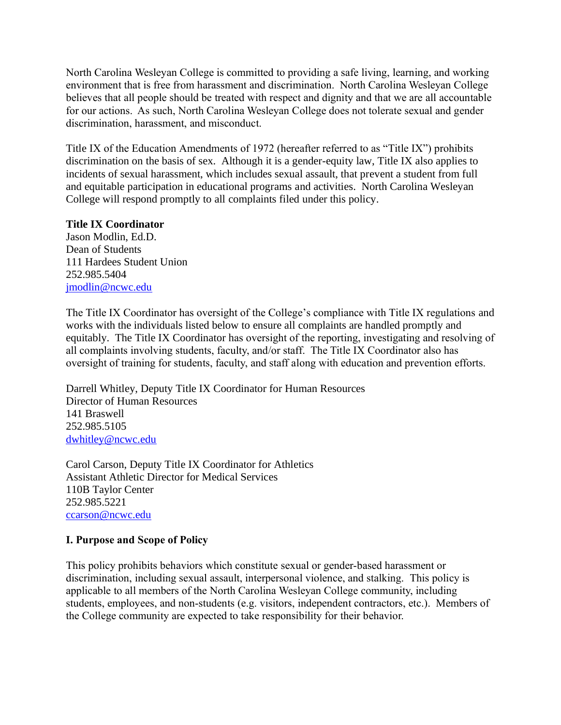North Carolina Wesleyan College is committed to providing a safe living, learning, and working environment that is free from harassment and discrimination. North Carolina Wesleyan College believes that all people should be treated with respect and dignity and that we are all accountable for our actions. As such, North Carolina Wesleyan College does not tolerate sexual and gender discrimination, harassment, and misconduct.

Title IX of the Education Amendments of 1972 (hereafter referred to as "Title IX") prohibits discrimination on the basis of sex. Although it is a gender-equity law, Title IX also applies to incidents of sexual harassment, which includes sexual assault, that prevent a student from full and equitable participation in educational programs and activities. North Carolina Wesleyan College will respond promptly to all complaints filed under this policy.

## **Title IX Coordinator**

Jason Modlin, Ed.D. Dean of Students 111 Hardees Student Union 252.985.5404 [jmodlin@ncwc.edu](mailto:jmodlin@ncwc.edu)

The Title IX Coordinator has oversight of the College's compliance with Title IX regulations and works with the individuals listed below to ensure all complaints are handled promptly and equitably. The Title IX Coordinator has oversight of the reporting, investigating and resolving of all complaints involving students, faculty, and/or staff. The Title IX Coordinator also has oversight of training for students, faculty, and staff along with education and prevention efforts.

Darrell Whitley, Deputy Title IX Coordinator for Human Resources Director of Human Resources 141 Braswell 252.985.5105 [dwhitley@ncwc.edu](mailto:dwhitley@ncwc.edu)

Carol Carson, Deputy Title IX Coordinator for Athletics Assistant Athletic Director for Medical Services 110B Taylor Center 252.985.5221 [ccarson@ncwc.edu](mailto:ccarson@ncwc.edu)

# **I. Purpose and Scope of Policy**

This policy prohibits behaviors which constitute sexual or gender-based harassment or discrimination, including sexual assault, interpersonal violence, and stalking. This policy is applicable to all members of the North Carolina Wesleyan College community, including students, employees, and non-students (e.g. visitors, independent contractors, etc.). Members of the College community are expected to take responsibility for their behavior.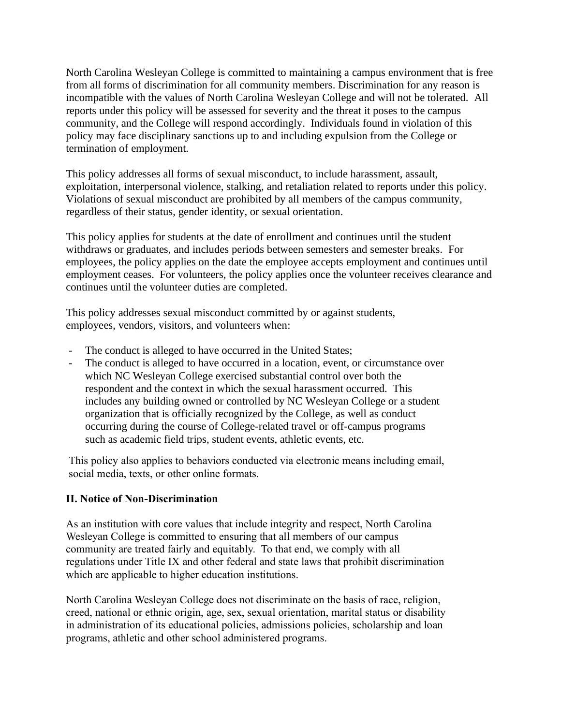North Carolina Wesleyan College is committed to maintaining a campus environment that is free from all forms of discrimination for all community members. Discrimination for any reason is incompatible with the values of North Carolina Wesleyan College and will not be tolerated. All reports under this policy will be assessed for severity and the threat it poses to the campus community, and the College will respond accordingly. Individuals found in violation of this policy may face disciplinary sanctions up to and including expulsion from the College or termination of employment.

This policy addresses all forms of sexual misconduct, to include harassment, assault, exploitation, interpersonal violence, stalking, and retaliation related to reports under this policy. Violations of sexual misconduct are prohibited by all members of the campus community, regardless of their status, gender identity, or sexual orientation.

This policy applies for students at the date of enrollment and continues until the student withdraws or graduates, and includes periods between semesters and semester breaks. For employees, the policy applies on the date the employee accepts employment and continues until employment ceases. For volunteers, the policy applies once the volunteer receives clearance and continues until the volunteer duties are completed.

This policy addresses sexual misconduct committed by or against students, employees, vendors, visitors, and volunteers when:

- The conduct is alleged to have occurred in the United States;
- The conduct is alleged to have occurred in a location, event, or circumstance over which NC Wesleyan College exercised substantial control over both the respondent and the context in which the sexual harassment occurred. This includes any building owned or controlled by NC Wesleyan College or a student organization that is officially recognized by the College, as well as conduct occurring during the course of College-related travel or off-campus programs such as academic field trips, student events, athletic events, etc.

This policy also applies to behaviors conducted via electronic means including email, social media, texts, or other online formats.

# **II. Notice of Non-Discrimination**

As an institution with core values that include integrity and respect, North Carolina Wesleyan College is committed to ensuring that all members of our campus community are treated fairly and equitably. To that end, we comply with all regulations under Title IX and other federal and state laws that prohibit discrimination which are applicable to higher education institutions.

North Carolina Wesleyan College does not discriminate on the basis of race, religion, creed, national or ethnic origin, age, sex, sexual orientation, marital status or disability in administration of its educational policies, admissions policies, scholarship and loan programs, athletic and other school administered programs.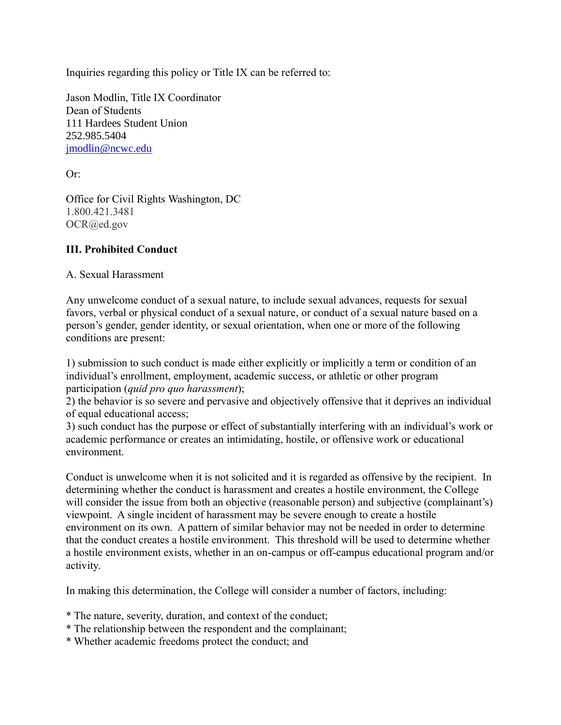Inquiries regarding this policy or Title IX can be referred to:

Jason Modlin, Title IX Coordinator Dean of Students 111 Hardees Student Union 252.985.5404 [jmodlin@ncwc.edu](mailto:jmodlin@ncwc.edu)

Or:

Office for Civil Rights Washington, DC 1.800.421.3481 OCR@ed.gov

## **III. Prohibited Conduct**

A. Sexual Harassment

Any unwelcome conduct of a sexual nature, to include sexual advances, requests for sexual favors, verbal or physical conduct of a sexual nature, or conduct of a sexual nature based on a person's gender, gender identity, or sexual orientation, when one or more of the following conditions are present:

1) submission to such conduct is made either explicitly or implicitly a term or condition of an individual's enrollment, employment, academic success, or athletic or other program participation (*quid pro quo harassment*);

2) the behavior is so severe and pervasive and objectively offensive that it deprives an individual of equal educational access;

3) such conduct has the purpose or effect of substantially interfering with an individual's work or academic performance or creates an intimidating, hostile, or offensive work or educational environment.

Conduct is unwelcome when it is not solicited and it is regarded as offensive by the recipient. In determining whether the conduct is harassment and creates a hostile environment, the College will consider the issue from both an objective (reasonable person) and subjective (complainant's) viewpoint. A single incident of harassment may be severe enough to create a hostile environment on its own. A pattern of similar behavior may not be needed in order to determine that the conduct creates a hostile environment. This threshold will be used to determine whether a hostile environment exists, whether in an on-campus or off-campus educational program and/or activity.

In making this determination, the College will consider a number of factors, including:

- \* The nature, severity, duration, and context of the conduct;
- \* The relationship between the respondent and the complainant;
- \* Whether academic freedoms protect the conduct; and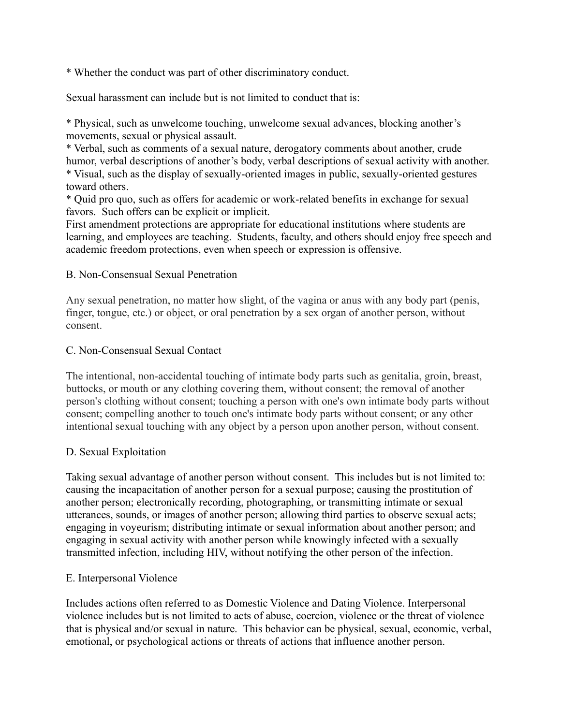\* Whether the conduct was part of other discriminatory conduct.

Sexual harassment can include but is not limited to conduct that is:

\* Physical, such as unwelcome touching, unwelcome sexual advances, blocking another's movements, sexual or physical assault.

\* Verbal, such as comments of a sexual nature, derogatory comments about another, crude humor, verbal descriptions of another's body, verbal descriptions of sexual activity with another. \* Visual, such as the display of sexually-oriented images in public, sexually-oriented gestures toward others.

\* Quid pro quo, such as offers for academic or work-related benefits in exchange for sexual favors. Such offers can be explicit or implicit.

First amendment protections are appropriate for educational institutions where students are learning, and employees are teaching. Students, faculty, and others should enjoy free speech and academic freedom protections, even when speech or expression is offensive.

## B. Non-Consensual Sexual Penetration

Any sexual penetration, no matter how slight, of the vagina or anus with any body part (penis, finger, tongue, etc.) or object, or oral penetration by a sex organ of another person, without consent.

### C. Non-Consensual Sexual Contact

The intentional, non-accidental touching of intimate body parts such as genitalia, groin, breast, buttocks, or mouth or any clothing covering them, without consent; the removal of another person's clothing without consent; touching a person with one's own intimate body parts without consent; compelling another to touch one's intimate body parts without consent; or any other intentional sexual touching with any object by a person upon another person, without consent.

### D. Sexual Exploitation

Taking sexual advantage of another person without consent. This includes but is not limited to: causing the incapacitation of another person for a sexual purpose; causing the prostitution of another person; electronically recording, photographing, or transmitting intimate or sexual utterances, sounds, or images of another person; allowing third parties to observe sexual acts; engaging in voyeurism; distributing intimate or sexual information about another person; and engaging in sexual activity with another person while knowingly infected with a sexually transmitted infection, including HIV, without notifying the other person of the infection.

### E. Interpersonal Violence

Includes actions often referred to as Domestic Violence and Dating Violence. Interpersonal violence includes but is not limited to acts of abuse, coercion, violence or the threat of violence that is physical and/or sexual in nature. This behavior can be physical, sexual, economic, verbal, emotional, or psychological actions or threats of actions that influence another person.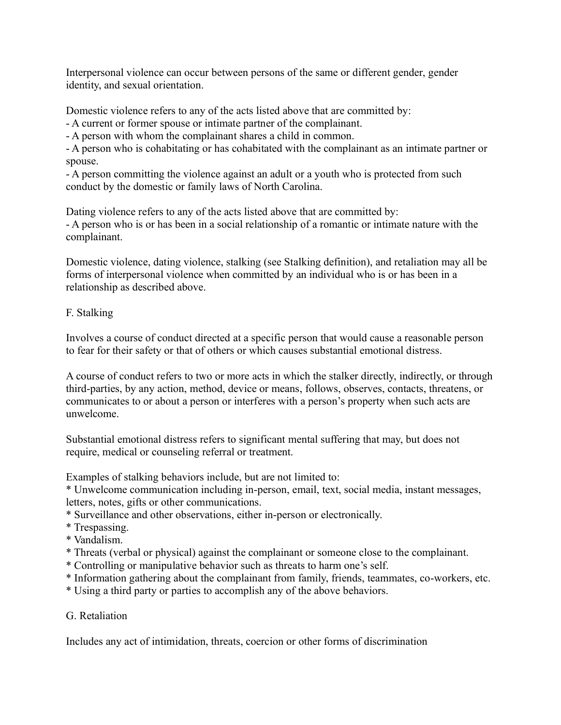Interpersonal violence can occur between persons of the same or different gender, gender identity, and sexual orientation.

Domestic violence refers to any of the acts listed above that are committed by:

- A current or former spouse or intimate partner of the complainant.

- A person with whom the complainant shares a child in common.

- A person who is cohabitating or has cohabitated with the complainant as an intimate partner or spouse.

- A person committing the violence against an adult or a youth who is protected from such conduct by the domestic or family laws of North Carolina.

Dating violence refers to any of the acts listed above that are committed by: - A person who is or has been in a social relationship of a romantic or intimate nature with the complainant.

Domestic violence, dating violence, stalking (see Stalking definition), and retaliation may all be forms of interpersonal violence when committed by an individual who is or has been in a relationship as described above.

# F. Stalking

Involves a course of conduct directed at a specific person that would cause a reasonable person to fear for their safety or that of others or which causes substantial emotional distress.

A course of conduct refers to two or more acts in which the stalker directly, indirectly, or through third-parties, by any action, method, device or means, follows, observes, contacts, threatens, or communicates to or about a person or interferes with a person's property when such acts are unwelcome.

Substantial emotional distress refers to significant mental suffering that may, but does not require, medical or counseling referral or treatment.

Examples of stalking behaviors include, but are not limited to:

\* Unwelcome communication including in-person, email, text, social media, instant messages, letters, notes, gifts or other communications.

- \* Surveillance and other observations, either in-person or electronically.
- \* Trespassing.
- \* Vandalism.
- \* Threats (verbal or physical) against the complainant or someone close to the complainant.
- \* Controlling or manipulative behavior such as threats to harm one's self.
- \* Information gathering about the complainant from family, friends, teammates, co-workers, etc.
- \* Using a third party or parties to accomplish any of the above behaviors.

# G. Retaliation

Includes any act of intimidation, threats, coercion or other forms of discrimination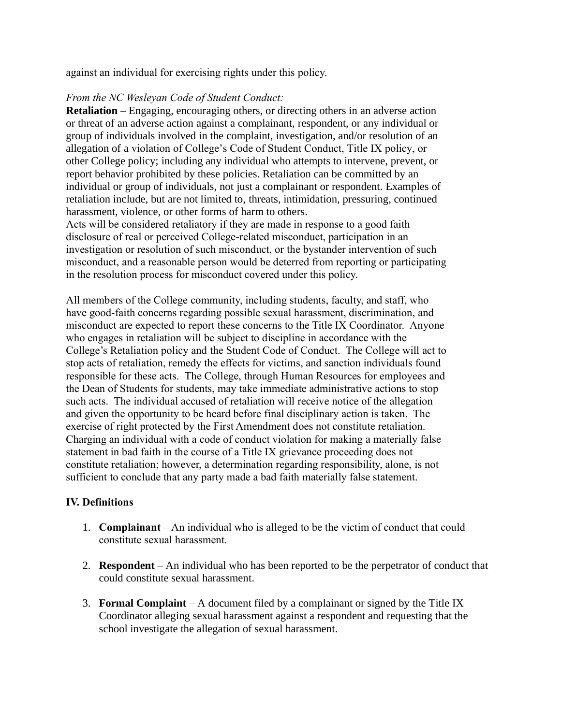against an individual for exercising rights under this policy.

### *From the NC Wesleyan Code of Student Conduct:*

**Retaliation** – Engaging, encouraging others, or directing others in an adverse action or threat of an adverse action against a complainant, respondent, or any individual or group of individuals involved in the complaint, investigation, and/or resolution of an allegation of a violation of College's Code of Student Conduct, Title IX policy, or other College policy; including any individual who attempts to intervene, prevent, or report behavior prohibited by these policies. Retaliation can be committed by an individual or group of individuals, not just a complainant or respondent. Examples of retaliation include, but are not limited to, threats, intimidation, pressuring, continued harassment, violence, or other forms of harm to others.

Acts will be considered retaliatory if they are made in response to a good faith disclosure of real or perceived College-related misconduct, participation in an investigation or resolution of such misconduct, or the bystander intervention of such misconduct, and a reasonable person would be deterred from reporting or participating in the resolution process for misconduct covered under this policy.

All members of the College community, including students, faculty, and staff, who have good-faith concerns regarding possible sexual harassment, discrimination, and misconduct are expected to report these concerns to the Title IX Coordinator. Anyone who engages in retaliation will be subject to discipline in accordance with the College's Retaliation policy and the Student Code of Conduct. The College will act to stop acts of retaliation, remedy the effects for victims, and sanction individuals found responsible for these acts. The College, through Human Resources for employees and the Dean of Students for students, may take immediate administrative actions to stop such acts. The individual accused of retaliation will receive notice of the allegation and given the opportunity to be heard before final disciplinary action is taken. The exercise of right protected by the First Amendment does not constitute retaliation. Charging an individual with a code of conduct violation for making a materially false statement in bad faith in the course of a Title IX grievance proceeding does not constitute retaliation; however, a determination regarding responsibility, alone, is not sufficient to conclude that any party made a bad faith materially false statement.

### **IV. Definitions**

- 1. **Complainant** An individual who is alleged to be the victim of conduct that could constitute sexual harassment.
- 2. **Respondent** An individual who has been reported to be the perpetrator of conduct that could constitute sexual harassment.
- 3. **Formal Complaint**  A document filed by a complainant or signed by the Title IX Coordinator alleging sexual harassment against a respondent and requesting that the school investigate the allegation of sexual harassment.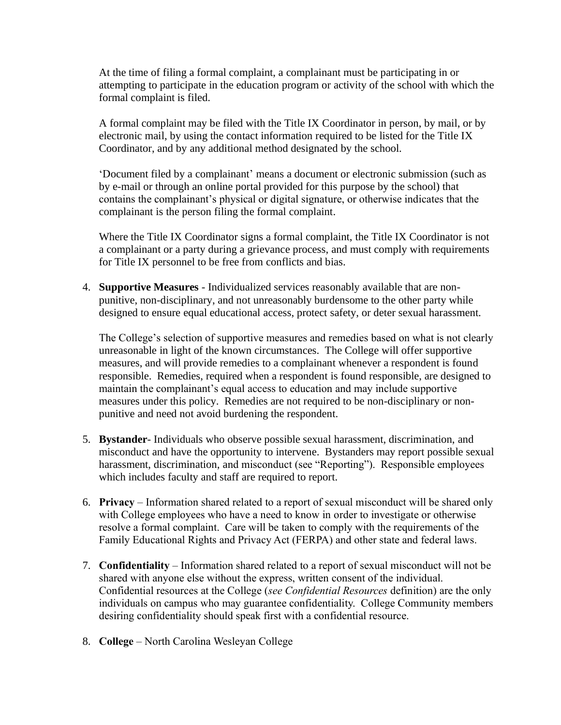At the time of filing a formal complaint, a complainant must be participating in or attempting to participate in the education program or activity of the school with which the formal complaint is filed.

A formal complaint may be filed with the Title IX Coordinator in person, by mail, or by electronic mail, by using the contact information required to be listed for the Title IX Coordinator, and by any additional method designated by the school.

'Document filed by a complainant' means a document or electronic submission (such as by e-mail or through an online portal provided for this purpose by the school) that contains the complainant's physical or digital signature, or otherwise indicates that the complainant is the person filing the formal complaint.

Where the Title IX Coordinator signs a formal complaint, the Title IX Coordinator is not a complainant or a party during a grievance process, and must comply with requirements for Title IX personnel to be free from conflicts and bias.

4. **Supportive Measures** - Individualized services reasonably available that are nonpunitive, non-disciplinary, and not unreasonably burdensome to the other party while designed to ensure equal educational access, protect safety, or deter sexual harassment.

The College's selection of supportive measures and remedies based on what is not clearly unreasonable in light of the known circumstances. The College will offer supportive measures, and will provide remedies to a complainant whenever a respondent is found responsible. Remedies, required when a respondent is found responsible, are designed to maintain the complainant's equal access to education and may include supportive measures under this policy. Remedies are not required to be non-disciplinary or nonpunitive and need not avoid burdening the respondent.

- 5. **Bystander** Individuals who observe possible sexual harassment, discrimination, and misconduct and have the opportunity to intervene. Bystanders may report possible sexual harassment, discrimination, and misconduct (see "Reporting"). Responsible employees which includes faculty and staff are required to report.
- 6. **Privacy**  Information shared related to a report of sexual misconduct will be shared only with College employees who have a need to know in order to investigate or otherwise resolve a formal complaint. Care will be taken to comply with the requirements of the Family Educational Rights and Privacy Act (FERPA) and other state and federal laws.
- 7. **Confidentiality**  Information shared related to a report of sexual misconduct will not be shared with anyone else without the express, written consent of the individual. Confidential resources at the College (*see Confidential Resources* definition) are the only individuals on campus who may guarantee confidentiality. College Community members desiring confidentiality should speak first with a confidential resource.
- 8. **College** North Carolina Wesleyan College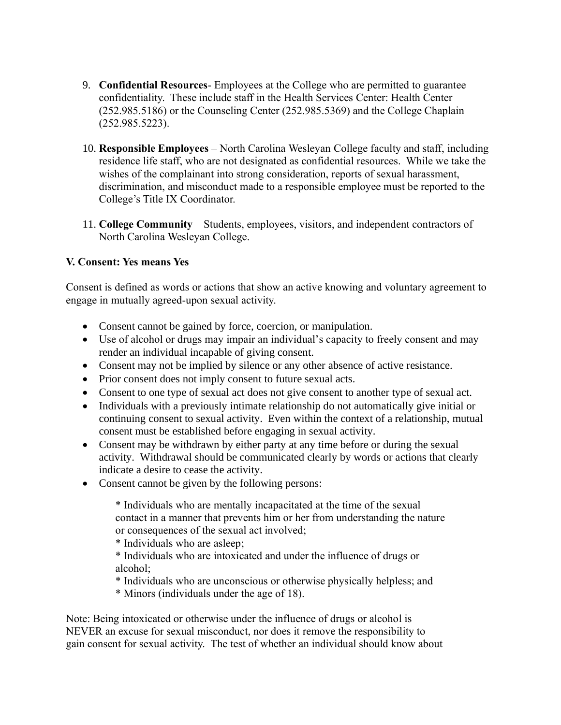- 9. **Confidential Resources** Employees at the College who are permitted to guarantee confidentiality. These include staff in the Health Services Center: Health Center (252.985.5186) or the Counseling Center (252.985.5369) and the College Chaplain (252.985.5223).
- 10. **Responsible Employees** North Carolina Wesleyan College faculty and staff, including residence life staff, who are not designated as confidential resources. While we take the wishes of the complainant into strong consideration, reports of sexual harassment, discrimination, and misconduct made to a responsible employee must be reported to the College's Title IX Coordinator.
- 11. **College Community** Students, employees, visitors, and independent contractors of North Carolina Wesleyan College.

# **V. Consent: Yes means Yes**

Consent is defined as words or actions that show an active knowing and voluntary agreement to engage in mutually agreed-upon sexual activity.

- Consent cannot be gained by force, coercion, or manipulation.
- Use of alcohol or drugs may impair an individual's capacity to freely consent and may render an individual incapable of giving consent.
- Consent may not be implied by silence or any other absence of active resistance.
- Prior consent does not imply consent to future sexual acts.
- Consent to one type of sexual act does not give consent to another type of sexual act.
- Individuals with a previously intimate relationship do not automatically give initial or continuing consent to sexual activity. Even within the context of a relationship, mutual consent must be established before engaging in sexual activity.
- Consent may be withdrawn by either party at any time before or during the sexual activity. Withdrawal should be communicated clearly by words or actions that clearly indicate a desire to cease the activity.
- Consent cannot be given by the following persons:

\* Individuals who are mentally incapacitated at the time of the sexual contact in a manner that prevents him or her from understanding the nature or consequences of the sexual act involved;

\* Individuals who are asleep;

\* Individuals who are intoxicated and under the influence of drugs or alcohol;

- \* Individuals who are unconscious or otherwise physically helpless; and
- \* Minors (individuals under the age of 18).

Note: Being intoxicated or otherwise under the influence of drugs or alcohol is NEVER an excuse for sexual misconduct, nor does it remove the responsibility to gain consent for sexual activity. The test of whether an individual should know about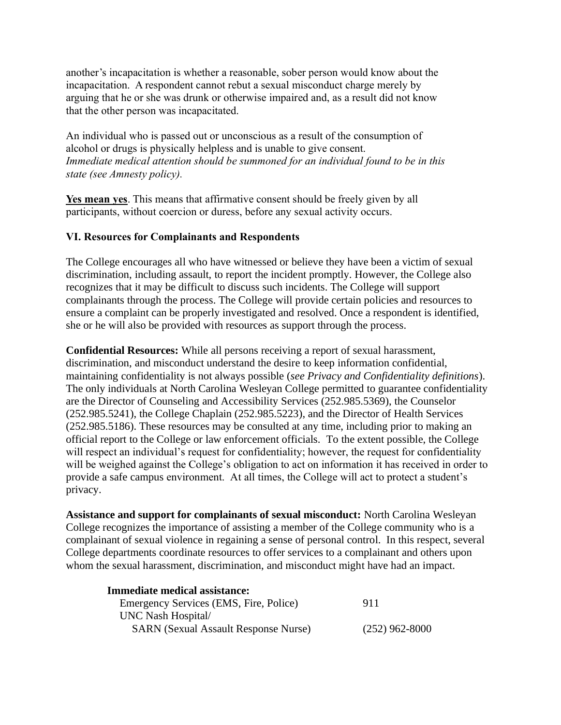another's incapacitation is whether a reasonable, sober person would know about the incapacitation. A respondent cannot rebut a sexual misconduct charge merely by arguing that he or she was drunk or otherwise impaired and, as a result did not know that the other person was incapacitated.

An individual who is passed out or unconscious as a result of the consumption of alcohol or drugs is physically helpless and is unable to give consent. *Immediate medical attention should be summoned for an individual found to be in this state (see Amnesty policy).*

**Yes mean yes**. This means that affirmative consent should be freely given by all participants, without coercion or duress, before any sexual activity occurs.

# **VI. Resources for Complainants and Respondents**

The College encourages all who have witnessed or believe they have been a victim of sexual discrimination, including assault, to report the incident promptly. However, the College also recognizes that it may be difficult to discuss such incidents. The College will support complainants through the process. The College will provide certain policies and resources to ensure a complaint can be properly investigated and resolved. Once a respondent is identified, she or he will also be provided with resources as support through the process.

**Confidential Resources:** While all persons receiving a report of sexual harassment, discrimination, and misconduct understand the desire to keep information confidential, maintaining confidentiality is not always possible (*see Privacy and Confidentiality definitions*). The only individuals at North Carolina Wesleyan College permitted to guarantee confidentiality are the Director of Counseling and Accessibility Services (252.985.5369), the Counselor (252.985.5241), the College Chaplain (252.985.5223), and the Director of Health Services (252.985.5186). These resources may be consulted at any time, including prior to making an official report to the College or law enforcement officials. To the extent possible, the College will respect an individual's request for confidentiality; however, the request for confidentiality will be weighed against the College's obligation to act on information it has received in order to provide a safe campus environment. At all times, the College will act to protect a student's privacy.

**Assistance and support for complainants of sexual misconduct:** North Carolina Wesleyan College recognizes the importance of assisting a member of the College community who is a complainant of sexual violence in regaining a sense of personal control. In this respect, several College departments coordinate resources to offer services to a complainant and others upon whom the sexual harassment, discrimination, and misconduct might have had an impact.

| <b>Immediate medical assistance:</b>        |                  |
|---------------------------------------------|------------------|
| Emergency Services (EMS, Fire, Police)      | 911              |
| UNC Nash Hospital/                          |                  |
| <b>SARN</b> (Sexual Assault Response Nurse) | $(252)$ 962-8000 |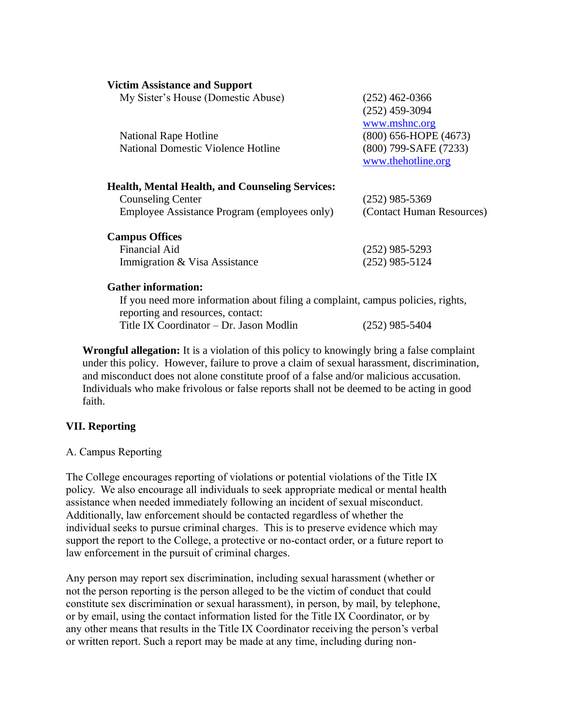#### **Victim Assistance and Support**

| My Sister's House (Domestic Abuse)<br>National Rape Hotline<br><b>National Domestic Violence Hotline</b>                           | $(252)$ 462-0366<br>$(252)$ 459-3094<br>www.mshnc.org<br>$(800)$ 656-HOPE $(4673)$<br>(800) 799-SAFE (7233) |
|------------------------------------------------------------------------------------------------------------------------------------|-------------------------------------------------------------------------------------------------------------|
| <b>Health, Mental Health, and Counseling Services:</b><br><b>Counseling Center</b><br>Employee Assistance Program (employees only) | www.thehotline.org<br>$(252)$ 985-5369<br>(Contact Human Resources)                                         |
| <b>Campus Offices</b><br><b>Financial Aid</b><br>Immigration & Visa Assistance                                                     | $(252)$ 985-5293<br>$(252)$ 985-5124                                                                        |
| <b>Gather information:</b><br>If you are discovered information about filing a commission common national sights                   |                                                                                                             |

If you need more information about filing a complaint, campus policies, rights, reporting and resources, contact: Title IX Coordinator – Dr. Jason Modlin (252) 985-5404

**Wrongful allegation:** It is a violation of this policy to knowingly bring a false complaint under this policy. However, failure to prove a claim of sexual harassment, discrimination, and misconduct does not alone constitute proof of a false and/or malicious accusation. Individuals who make frivolous or false reports shall not be deemed to be acting in good faith.

### **VII. Reporting**

### A. Campus Reporting

The College encourages reporting of violations or potential violations of the Title IX policy. We also encourage all individuals to seek appropriate medical or mental health assistance when needed immediately following an incident of sexual misconduct. Additionally, law enforcement should be contacted regardless of whether the individual seeks to pursue criminal charges. This is to preserve evidence which may support the report to the College, a protective or no-contact order, or a future report to law enforcement in the pursuit of criminal charges.

Any person may report sex discrimination, including sexual harassment (whether or not the person reporting is the person alleged to be the victim of conduct that could constitute sex discrimination or sexual harassment), in person, by mail, by telephone, or by email, using the contact information listed for the Title IX Coordinator, or by any other means that results in the Title IX Coordinator receiving the person's verbal or written report. Such a report may be made at any time, including during non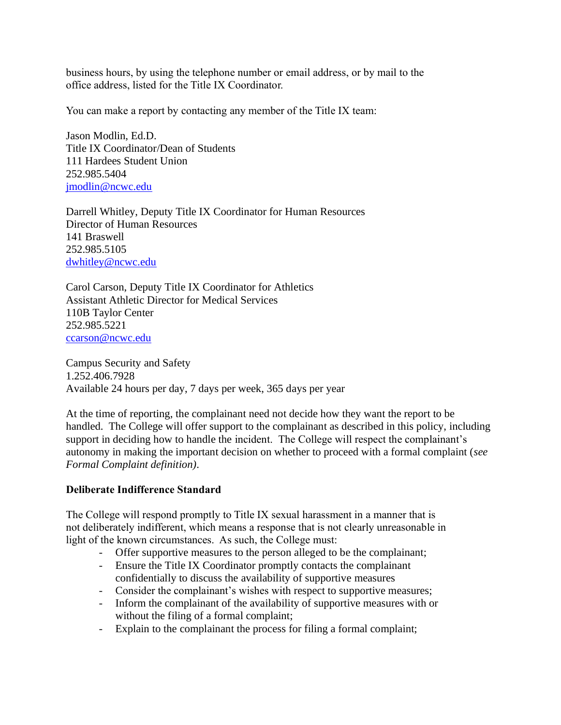business hours, by using the telephone number or email address, or by mail to the office address, listed for the Title IX Coordinator.

You can make a report by contacting any member of the Title IX team:

Jason Modlin, Ed.D. Title IX Coordinator/Dean of Students 111 Hardees Student Union 252.985.5404 [jmodlin@ncwc.edu](mailto:jmodlin@ncwc.edu)

Darrell Whitley, Deputy Title IX Coordinator for Human Resources Director of Human Resources 141 Braswell 252.985.5105 [dwhitley@ncwc.edu](mailto:dwhitley@ncwc.edu)

Carol Carson, Deputy Title IX Coordinator for Athletics Assistant Athletic Director for Medical Services 110B Taylor Center 252.985.5221 [ccarson@ncwc.edu](mailto:ccarson@ncwc.edu)

Campus Security and Safety 1.252.406.7928 Available 24 hours per day, 7 days per week, 365 days per year

At the time of reporting, the complainant need not decide how they want the report to be handled. The College will offer support to the complainant as described in this policy, including support in deciding how to handle the incident. The College will respect the complainant's autonomy in making the important decision on whether to proceed with a formal complaint (*see Formal Complaint definition)*.

# **Deliberate Indifference Standard**

The College will respond promptly to Title IX sexual harassment in a manner that is not deliberately indifferent, which means a response that is not clearly unreasonable in light of the known circumstances. As such, the College must:

- Offer supportive measures to the person alleged to be the complainant;
- Ensure the Title IX Coordinator promptly contacts the complainant confidentially to discuss the availability of supportive measures
- Consider the complainant's wishes with respect to supportive measures;
- Inform the complainant of the availability of supportive measures with or without the filing of a formal complaint;
- Explain to the complainant the process for filing a formal complaint;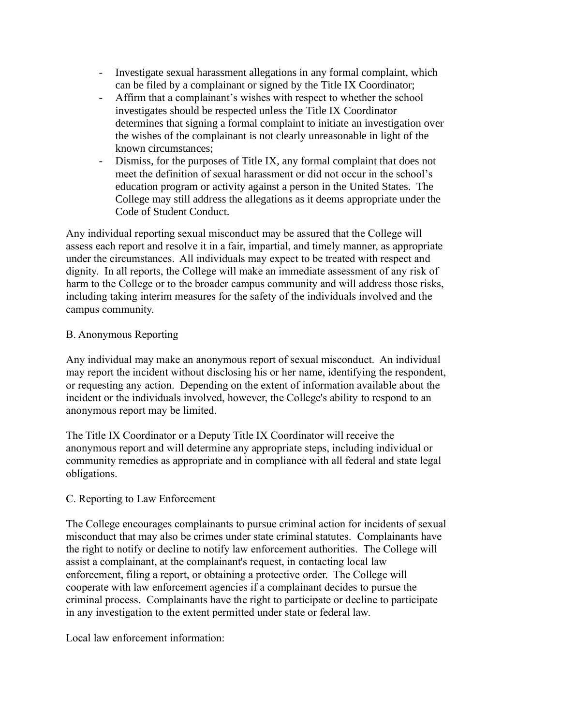- Investigate sexual harassment allegations in any formal complaint, which can be filed by a complainant or signed by the Title IX Coordinator;
- Affirm that a complainant's wishes with respect to whether the school investigates should be respected unless the Title IX Coordinator determines that signing a formal complaint to initiate an investigation over the wishes of the complainant is not clearly unreasonable in light of the known circumstances;
- Dismiss, for the purposes of Title IX, any formal complaint that does not meet the definition of sexual harassment or did not occur in the school's education program or activity against a person in the United States. The College may still address the allegations as it deems appropriate under the Code of Student Conduct.

Any individual reporting sexual misconduct may be assured that the College will assess each report and resolve it in a fair, impartial, and timely manner, as appropriate under the circumstances. All individuals may expect to be treated with respect and dignity. In all reports, the College will make an immediate assessment of any risk of harm to the College or to the broader campus community and will address those risks, including taking interim measures for the safety of the individuals involved and the campus community.

## B. Anonymous Reporting

Any individual may make an anonymous report of sexual misconduct. An individual may report the incident without disclosing his or her name, identifying the respondent, or requesting any action. Depending on the extent of information available about the incident or the individuals involved, however, the College's ability to respond to an anonymous report may be limited.

The Title IX Coordinator or a Deputy Title IX Coordinator will receive the anonymous report and will determine any appropriate steps, including individual or community remedies as appropriate and in compliance with all federal and state legal obligations.

# C. Reporting to Law Enforcement

The College encourages complainants to pursue criminal action for incidents of sexual misconduct that may also be crimes under state criminal statutes. Complainants have the right to notify or decline to notify law enforcement authorities. The College will assist a complainant, at the complainant's request, in contacting local law enforcement, filing a report, or obtaining a protective order. The College will cooperate with law enforcement agencies if a complainant decides to pursue the criminal process. Complainants have the right to participate or decline to participate in any investigation to the extent permitted under state or federal law.

Local law enforcement information: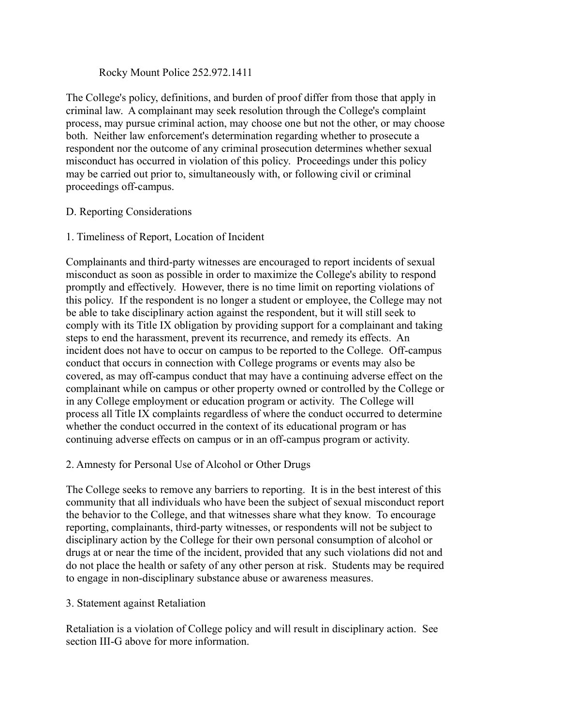### Rocky Mount Police 252.972.1411

The College's policy, definitions, and burden of proof differ from those that apply in criminal law. A complainant may seek resolution through the College's complaint process, may pursue criminal action, may choose one but not the other, or may choose both. Neither law enforcement's determination regarding whether to prosecute a respondent nor the outcome of any criminal prosecution determines whether sexual misconduct has occurred in violation of this policy. Proceedings under this policy may be carried out prior to, simultaneously with, or following civil or criminal proceedings off-campus.

## D. Reporting Considerations

1. Timeliness of Report, Location of Incident

Complainants and third-party witnesses are encouraged to report incidents of sexual misconduct as soon as possible in order to maximize the College's ability to respond promptly and effectively. However, there is no time limit on reporting violations of this policy. If the respondent is no longer a student or employee, the College may not be able to take disciplinary action against the respondent, but it will still seek to comply with its Title IX obligation by providing support for a complainant and taking steps to end the harassment, prevent its recurrence, and remedy its effects. An incident does not have to occur on campus to be reported to the College. Off-campus conduct that occurs in connection with College programs or events may also be covered, as may off-campus conduct that may have a continuing adverse effect on the complainant while on campus or other property owned or controlled by the College or in any College employment or education program or activity. The College will process all Title IX complaints regardless of where the conduct occurred to determine whether the conduct occurred in the context of its educational program or has continuing adverse effects on campus or in an off-campus program or activity.

### 2. Amnesty for Personal Use of Alcohol or Other Drugs

The College seeks to remove any barriers to reporting. It is in the best interest of this community that all individuals who have been the subject of sexual misconduct report the behavior to the College, and that witnesses share what they know. To encourage reporting, complainants, third-party witnesses, or respondents will not be subject to disciplinary action by the College for their own personal consumption of alcohol or drugs at or near the time of the incident, provided that any such violations did not and do not place the health or safety of any other person at risk. Students may be required to engage in non-disciplinary substance abuse or awareness measures.

### 3. Statement against Retaliation

Retaliation is a violation of College policy and will result in disciplinary action. See section III-G above for more information.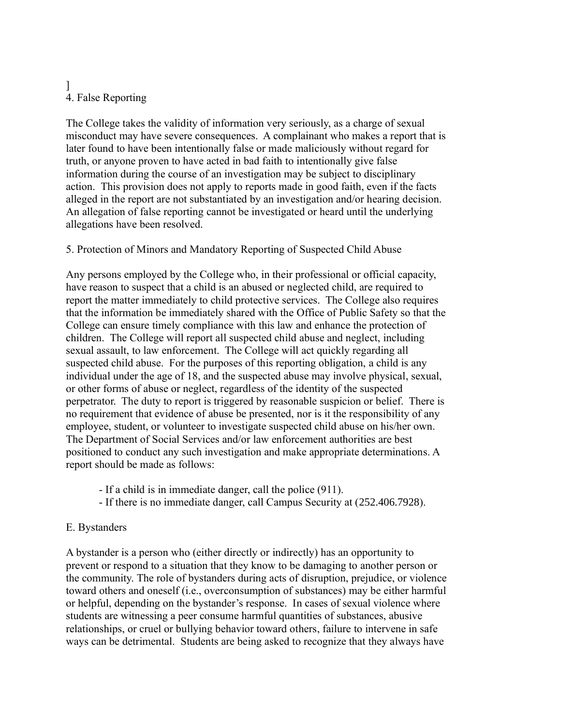# ] 4. False Reporting

The College takes the validity of information very seriously, as a charge of sexual misconduct may have severe consequences. A complainant who makes a report that is later found to have been intentionally false or made maliciously without regard for truth, or anyone proven to have acted in bad faith to intentionally give false information during the course of an investigation may be subject to disciplinary action. This provision does not apply to reports made in good faith, even if the facts alleged in the report are not substantiated by an investigation and/or hearing decision. An allegation of false reporting cannot be investigated or heard until the underlying allegations have been resolved.

# 5. Protection of Minors and Mandatory Reporting of Suspected Child Abuse

Any persons employed by the College who, in their professional or official capacity, have reason to suspect that a child is an abused or neglected child, are required to report the matter immediately to child protective services. The College also requires that the information be immediately shared with the Office of Public Safety so that the College can ensure timely compliance with this law and enhance the protection of children. The College will report all suspected child abuse and neglect, including sexual assault, to law enforcement. The College will act quickly regarding all suspected child abuse. For the purposes of this reporting obligation, a child is any individual under the age of 18, and the suspected abuse may involve physical, sexual, or other forms of abuse or neglect, regardless of the identity of the suspected perpetrator. The duty to report is triggered by reasonable suspicion or belief. There is no requirement that evidence of abuse be presented, nor is it the responsibility of any employee, student, or volunteer to investigate suspected child abuse on his/her own. The Department of Social Services and/or law enforcement authorities are best positioned to conduct any such investigation and make appropriate determinations. A report should be made as follows:

- If a child is in immediate danger, call the police (911).
- If there is no immediate danger, call Campus Security at (252.406.7928).

# E. Bystanders

A bystander is a person who (either directly or indirectly) has an opportunity to prevent or respond to a situation that they know to be damaging to another person or the community. The role of bystanders during acts of disruption, prejudice, or violence toward others and oneself (i.e., overconsumption of substances) may be either harmful or helpful, depending on the bystander's response. In cases of sexual violence where students are witnessing a peer consume harmful quantities of substances, abusive relationships, or cruel or bullying behavior toward others, failure to intervene in safe ways can be detrimental. Students are being asked to recognize that they always have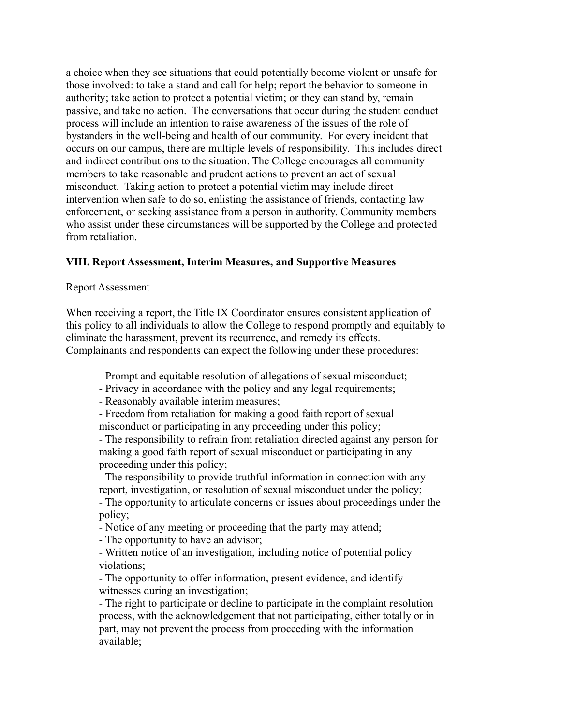a choice when they see situations that could potentially become violent or unsafe for those involved: to take a stand and call for help; report the behavior to someone in authority; take action to protect a potential victim; or they can stand by, remain passive, and take no action. The conversations that occur during the student conduct process will include an intention to raise awareness of the issues of the role of bystanders in the well-being and health of our community. For every incident that occurs on our campus, there are multiple levels of responsibility. This includes direct and indirect contributions to the situation. The College encourages all community members to take reasonable and prudent actions to prevent an act of sexual misconduct. Taking action to protect a potential victim may include direct intervention when safe to do so, enlisting the assistance of friends, contacting law enforcement, or seeking assistance from a person in authority. Community members who assist under these circumstances will be supported by the College and protected from retaliation.

## **VIII. Report Assessment, Interim Measures, and Supportive Measures**

#### Report Assessment

When receiving a report, the Title IX Coordinator ensures consistent application of this policy to all individuals to allow the College to respond promptly and equitably to eliminate the harassment, prevent its recurrence, and remedy its effects. Complainants and respondents can expect the following under these procedures:

- Prompt and equitable resolution of allegations of sexual misconduct;
- Privacy in accordance with the policy and any legal requirements;
- Reasonably available interim measures;

- Freedom from retaliation for making a good faith report of sexual misconduct or participating in any proceeding under this policy;

- The responsibility to refrain from retaliation directed against any person for making a good faith report of sexual misconduct or participating in any proceeding under this policy;

- The responsibility to provide truthful information in connection with any report, investigation, or resolution of sexual misconduct under the policy;

- The opportunity to articulate concerns or issues about proceedings under the policy;

- Notice of any meeting or proceeding that the party may attend;

- The opportunity to have an advisor;

- Written notice of an investigation, including notice of potential policy violations;

- The opportunity to offer information, present evidence, and identify witnesses during an investigation;

- The right to participate or decline to participate in the complaint resolution process, with the acknowledgement that not participating, either totally or in part, may not prevent the process from proceeding with the information available;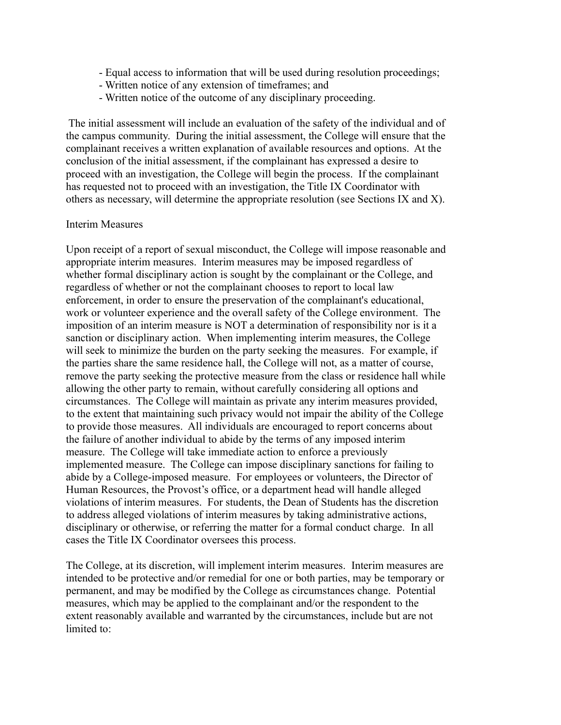- Equal access to information that will be used during resolution proceedings;
- Written notice of any extension of timeframes; and
- Written notice of the outcome of any disciplinary proceeding.

The initial assessment will include an evaluation of the safety of the individual and of the campus community. During the initial assessment, the College will ensure that the complainant receives a written explanation of available resources and options. At the conclusion of the initial assessment, if the complainant has expressed a desire to proceed with an investigation, the College will begin the process. If the complainant has requested not to proceed with an investigation, the Title IX Coordinator with others as necessary, will determine the appropriate resolution (see Sections IX and X).

#### Interim Measures

Upon receipt of a report of sexual misconduct, the College will impose reasonable and appropriate interim measures. Interim measures may be imposed regardless of whether formal disciplinary action is sought by the complainant or the College, and regardless of whether or not the complainant chooses to report to local law enforcement, in order to ensure the preservation of the complainant's educational, work or volunteer experience and the overall safety of the College environment. The imposition of an interim measure is NOT a determination of responsibility nor is it a sanction or disciplinary action. When implementing interim measures, the College will seek to minimize the burden on the party seeking the measures. For example, if the parties share the same residence hall, the College will not, as a matter of course, remove the party seeking the protective measure from the class or residence hall while allowing the other party to remain, without carefully considering all options and circumstances. The College will maintain as private any interim measures provided, to the extent that maintaining such privacy would not impair the ability of the College to provide those measures. All individuals are encouraged to report concerns about the failure of another individual to abide by the terms of any imposed interim measure. The College will take immediate action to enforce a previously implemented measure. The College can impose disciplinary sanctions for failing to abide by a College-imposed measure. For employees or volunteers, the Director of Human Resources, the Provost's office, or a department head will handle alleged violations of interim measures. For students, the Dean of Students has the discretion to address alleged violations of interim measures by taking administrative actions, disciplinary or otherwise, or referring the matter for a formal conduct charge. In all cases the Title IX Coordinator oversees this process.

The College, at its discretion, will implement interim measures. Interim measures are intended to be protective and/or remedial for one or both parties, may be temporary or permanent, and may be modified by the College as circumstances change. Potential measures, which may be applied to the complainant and/or the respondent to the extent reasonably available and warranted by the circumstances, include but are not limited to: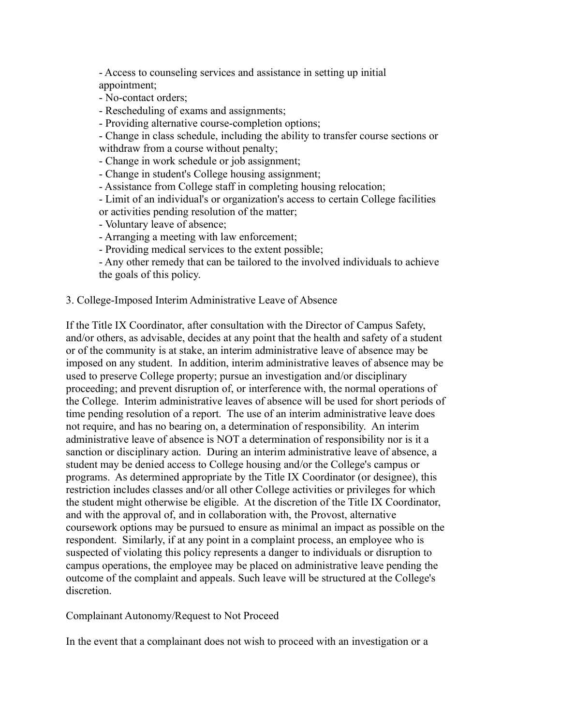- Access to counseling services and assistance in setting up initial appointment;

- No-contact orders;
- Rescheduling of exams and assignments;
- Providing alternative course-completion options;

- Change in class schedule, including the ability to transfer course sections or withdraw from a course without penalty;

- Change in work schedule or job assignment;
- Change in student's College housing assignment;
- Assistance from College staff in completing housing relocation;
- Limit of an individual's or organization's access to certain College facilities

or activities pending resolution of the matter;

- Voluntary leave of absence;
- Arranging a meeting with law enforcement;
- Providing medical services to the extent possible;
- Any other remedy that can be tailored to the involved individuals to achieve the goals of this policy.

#### 3. College-Imposed Interim Administrative Leave of Absence

If the Title IX Coordinator, after consultation with the Director of Campus Safety, and/or others, as advisable, decides at any point that the health and safety of a student or of the community is at stake, an interim administrative leave of absence may be imposed on any student. In addition, interim administrative leaves of absence may be used to preserve College property; pursue an investigation and/or disciplinary proceeding; and prevent disruption of, or interference with, the normal operations of the College. Interim administrative leaves of absence will be used for short periods of time pending resolution of a report. The use of an interim administrative leave does not require, and has no bearing on, a determination of responsibility. An interim administrative leave of absence is NOT a determination of responsibility nor is it a sanction or disciplinary action. During an interim administrative leave of absence, a student may be denied access to College housing and/or the College's campus or programs. As determined appropriate by the Title IX Coordinator (or designee), this restriction includes classes and/or all other College activities or privileges for which the student might otherwise be eligible. At the discretion of the Title IX Coordinator, and with the approval of, and in collaboration with, the Provost, alternative coursework options may be pursued to ensure as minimal an impact as possible on the respondent. Similarly, if at any point in a complaint process, an employee who is suspected of violating this policy represents a danger to individuals or disruption to campus operations, the employee may be placed on administrative leave pending the outcome of the complaint and appeals. Such leave will be structured at the College's discretion.

#### Complainant Autonomy/Request to Not Proceed

In the event that a complainant does not wish to proceed with an investigation or a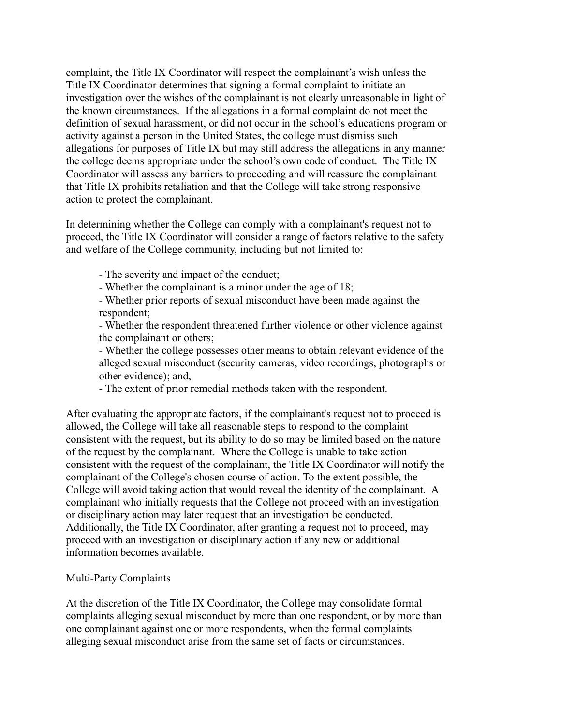complaint, the Title IX Coordinator will respect the complainant's wish unless the Title IX Coordinator determines that signing a formal complaint to initiate an investigation over the wishes of the complainant is not clearly unreasonable in light of the known circumstances. If the allegations in a formal complaint do not meet the definition of sexual harassment, or did not occur in the school's educations program or activity against a person in the United States, the college must dismiss such allegations for purposes of Title IX but may still address the allegations in any manner the college deems appropriate under the school's own code of conduct. The Title IX Coordinator will assess any barriers to proceeding and will reassure the complainant that Title IX prohibits retaliation and that the College will take strong responsive action to protect the complainant.

In determining whether the College can comply with a complainant's request not to proceed, the Title IX Coordinator will consider a range of factors relative to the safety and welfare of the College community, including but not limited to:

- The severity and impact of the conduct;

- Whether the complainant is a minor under the age of 18;

- Whether prior reports of sexual misconduct have been made against the respondent;

- Whether the respondent threatened further violence or other violence against the complainant or others;

- Whether the college possesses other means to obtain relevant evidence of the alleged sexual misconduct (security cameras, video recordings, photographs or other evidence); and,

- The extent of prior remedial methods taken with the respondent.

After evaluating the appropriate factors, if the complainant's request not to proceed is allowed, the College will take all reasonable steps to respond to the complaint consistent with the request, but its ability to do so may be limited based on the nature of the request by the complainant. Where the College is unable to take action consistent with the request of the complainant, the Title IX Coordinator will notify the complainant of the College's chosen course of action. To the extent possible, the College will avoid taking action that would reveal the identity of the complainant. A complainant who initially requests that the College not proceed with an investigation or disciplinary action may later request that an investigation be conducted. Additionally, the Title IX Coordinator, after granting a request not to proceed, may proceed with an investigation or disciplinary action if any new or additional information becomes available.

# Multi-Party Complaints

At the discretion of the Title IX Coordinator, the College may consolidate formal complaints alleging sexual misconduct by more than one respondent, or by more than one complainant against one or more respondents, when the formal complaints alleging sexual misconduct arise from the same set of facts or circumstances.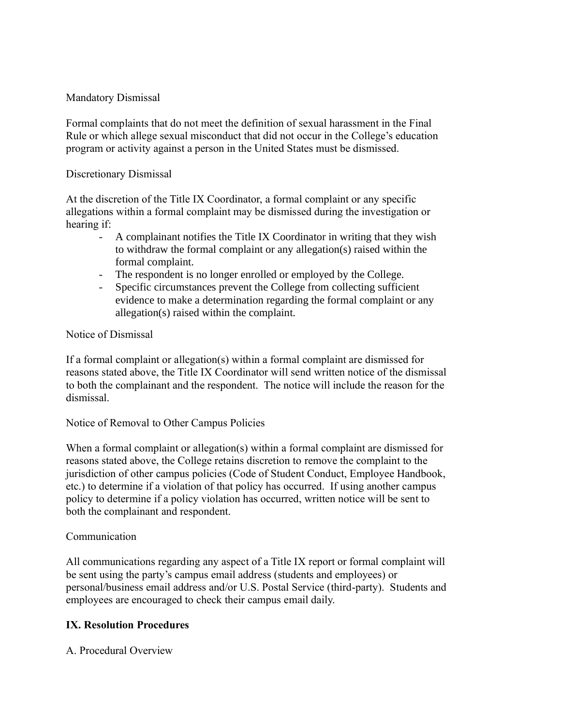## Mandatory Dismissal

Formal complaints that do not meet the definition of sexual harassment in the Final Rule or which allege sexual misconduct that did not occur in the College's education program or activity against a person in the United States must be dismissed.

### Discretionary Dismissal

At the discretion of the Title IX Coordinator, a formal complaint or any specific allegations within a formal complaint may be dismissed during the investigation or hearing if:

- A complainant notifies the Title IX Coordinator in writing that they wish to withdraw the formal complaint or any allegation(s) raised within the formal complaint.
- The respondent is no longer enrolled or employed by the College.
- Specific circumstances prevent the College from collecting sufficient evidence to make a determination regarding the formal complaint or any allegation(s) raised within the complaint.

## Notice of Dismissal

If a formal complaint or allegation(s) within a formal complaint are dismissed for reasons stated above, the Title IX Coordinator will send written notice of the dismissal to both the complainant and the respondent. The notice will include the reason for the dismissal.

### Notice of Removal to Other Campus Policies

When a formal complaint or allegation(s) within a formal complaint are dismissed for reasons stated above, the College retains discretion to remove the complaint to the jurisdiction of other campus policies (Code of Student Conduct, Employee Handbook, etc.) to determine if a violation of that policy has occurred. If using another campus policy to determine if a policy violation has occurred, written notice will be sent to both the complainant and respondent.

### Communication

All communications regarding any aspect of a Title IX report or formal complaint will be sent using the party's campus email address (students and employees) or personal/business email address and/or U.S. Postal Service (third-party). Students and employees are encouraged to check their campus email daily.

# **IX. Resolution Procedures**

A. Procedural Overview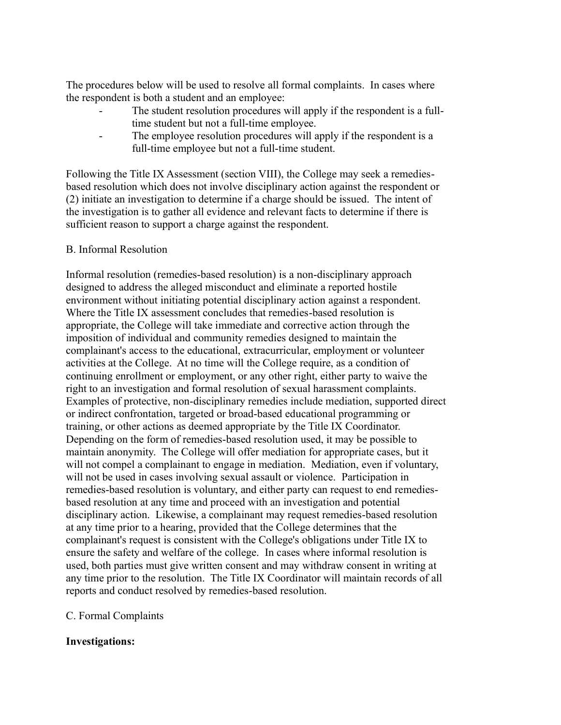The procedures below will be used to resolve all formal complaints. In cases where the respondent is both a student and an employee:

- The student resolution procedures will apply if the respondent is a fulltime student but not a full-time employee.
- The employee resolution procedures will apply if the respondent is a full-time employee but not a full-time student.

Following the Title IX Assessment (section VIII), the College may seek a remediesbased resolution which does not involve disciplinary action against the respondent or (2) initiate an investigation to determine if a charge should be issued. The intent of the investigation is to gather all evidence and relevant facts to determine if there is sufficient reason to support a charge against the respondent.

## B. Informal Resolution

Informal resolution (remedies-based resolution) is a non-disciplinary approach designed to address the alleged misconduct and eliminate a reported hostile environment without initiating potential disciplinary action against a respondent. Where the Title IX assessment concludes that remedies-based resolution is appropriate, the College will take immediate and corrective action through the imposition of individual and community remedies designed to maintain the complainant's access to the educational, extracurricular, employment or volunteer activities at the College. At no time will the College require, as a condition of continuing enrollment or employment, or any other right, either party to waive the right to an investigation and formal resolution of sexual harassment complaints. Examples of protective, non-disciplinary remedies include mediation, supported direct or indirect confrontation, targeted or broad-based educational programming or training, or other actions as deemed appropriate by the Title IX Coordinator. Depending on the form of remedies-based resolution used, it may be possible to maintain anonymity. The College will offer mediation for appropriate cases, but it will not compel a complainant to engage in mediation. Mediation, even if voluntary, will not be used in cases involving sexual assault or violence. Participation in remedies-based resolution is voluntary, and either party can request to end remediesbased resolution at any time and proceed with an investigation and potential disciplinary action. Likewise, a complainant may request remedies-based resolution at any time prior to a hearing, provided that the College determines that the complainant's request is consistent with the College's obligations under Title IX to ensure the safety and welfare of the college. In cases where informal resolution is used, both parties must give written consent and may withdraw consent in writing at any time prior to the resolution. The Title IX Coordinator will maintain records of all reports and conduct resolved by remedies-based resolution.

### C. Formal Complaints

# **Investigations:**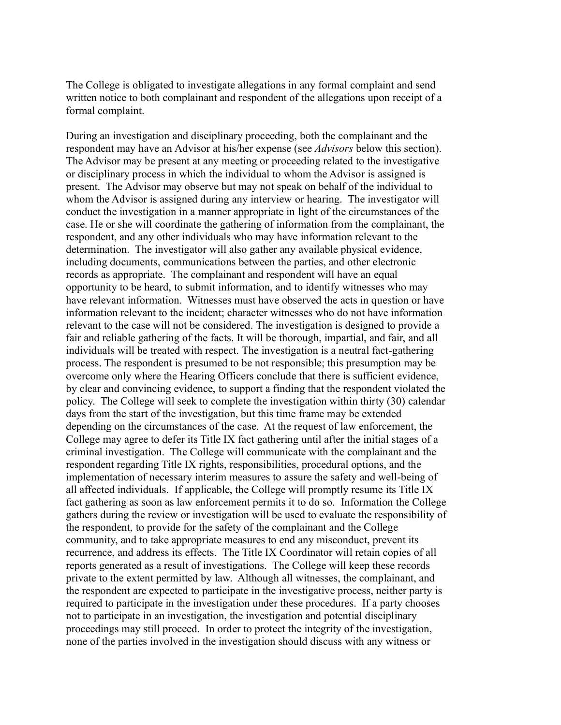The College is obligated to investigate allegations in any formal complaint and send written notice to both complainant and respondent of the allegations upon receipt of a formal complaint.

During an investigation and disciplinary proceeding, both the complainant and the respondent may have an Advisor at his/her expense (see *Advisors* below this section). The Advisor may be present at any meeting or proceeding related to the investigative or disciplinary process in which the individual to whom the Advisor is assigned is present. The Advisor may observe but may not speak on behalf of the individual to whom the Advisor is assigned during any interview or hearing. The investigator will conduct the investigation in a manner appropriate in light of the circumstances of the case. He or she will coordinate the gathering of information from the complainant, the respondent, and any other individuals who may have information relevant to the determination. The investigator will also gather any available physical evidence, including documents, communications between the parties, and other electronic records as appropriate. The complainant and respondent will have an equal opportunity to be heard, to submit information, and to identify witnesses who may have relevant information. Witnesses must have observed the acts in question or have information relevant to the incident; character witnesses who do not have information relevant to the case will not be considered. The investigation is designed to provide a fair and reliable gathering of the facts. It will be thorough, impartial, and fair, and all individuals will be treated with respect. The investigation is a neutral fact-gathering process. The respondent is presumed to be not responsible; this presumption may be overcome only where the Hearing Officers conclude that there is sufficient evidence, by clear and convincing evidence, to support a finding that the respondent violated the policy. The College will seek to complete the investigation within thirty (30) calendar days from the start of the investigation, but this time frame may be extended depending on the circumstances of the case. At the request of law enforcement, the College may agree to defer its Title IX fact gathering until after the initial stages of a criminal investigation. The College will communicate with the complainant and the respondent regarding Title IX rights, responsibilities, procedural options, and the implementation of necessary interim measures to assure the safety and well-being of all affected individuals. If applicable, the College will promptly resume its Title IX fact gathering as soon as law enforcement permits it to do so. Information the College gathers during the review or investigation will be used to evaluate the responsibility of the respondent, to provide for the safety of the complainant and the College community, and to take appropriate measures to end any misconduct, prevent its recurrence, and address its effects. The Title IX Coordinator will retain copies of all reports generated as a result of investigations. The College will keep these records private to the extent permitted by law. Although all witnesses, the complainant, and the respondent are expected to participate in the investigative process, neither party is required to participate in the investigation under these procedures. If a party chooses not to participate in an investigation, the investigation and potential disciplinary proceedings may still proceed. In order to protect the integrity of the investigation, none of the parties involved in the investigation should discuss with any witness or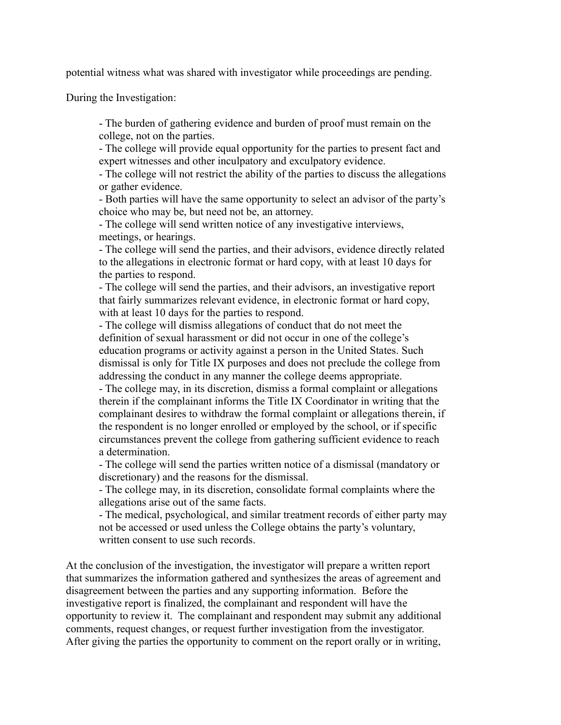potential witness what was shared with investigator while proceedings are pending.

During the Investigation:

- The burden of gathering evidence and burden of proof must remain on the college, not on the parties.

- The college will provide equal opportunity for the parties to present fact and expert witnesses and other inculpatory and exculpatory evidence.

- The college will not restrict the ability of the parties to discuss the allegations or gather evidence.

- Both parties will have the same opportunity to select an advisor of the party's choice who may be, but need not be, an attorney.

- The college will send written notice of any investigative interviews, meetings, or hearings.

- The college will send the parties, and their advisors, evidence directly related to the allegations in electronic format or hard copy, with at least 10 days for the parties to respond.

- The college will send the parties, and their advisors, an investigative report that fairly summarizes relevant evidence, in electronic format or hard copy, with at least 10 days for the parties to respond.

- The college will dismiss allegations of conduct that do not meet the definition of sexual harassment or did not occur in one of the college's education programs or activity against a person in the United States. Such dismissal is only for Title IX purposes and does not preclude the college from addressing the conduct in any manner the college deems appropriate.

- The college may, in its discretion, dismiss a formal complaint or allegations therein if the complainant informs the Title IX Coordinator in writing that the complainant desires to withdraw the formal complaint or allegations therein, if the respondent is no longer enrolled or employed by the school, or if specific circumstances prevent the college from gathering sufficient evidence to reach a determination.

- The college will send the parties written notice of a dismissal (mandatory or discretionary) and the reasons for the dismissal.

- The college may, in its discretion, consolidate formal complaints where the allegations arise out of the same facts.

- The medical, psychological, and similar treatment records of either party may not be accessed or used unless the College obtains the party's voluntary, written consent to use such records.

At the conclusion of the investigation, the investigator will prepare a written report that summarizes the information gathered and synthesizes the areas of agreement and disagreement between the parties and any supporting information. Before the investigative report is finalized, the complainant and respondent will have the opportunity to review it. The complainant and respondent may submit any additional comments, request changes, or request further investigation from the investigator. After giving the parties the opportunity to comment on the report orally or in writing,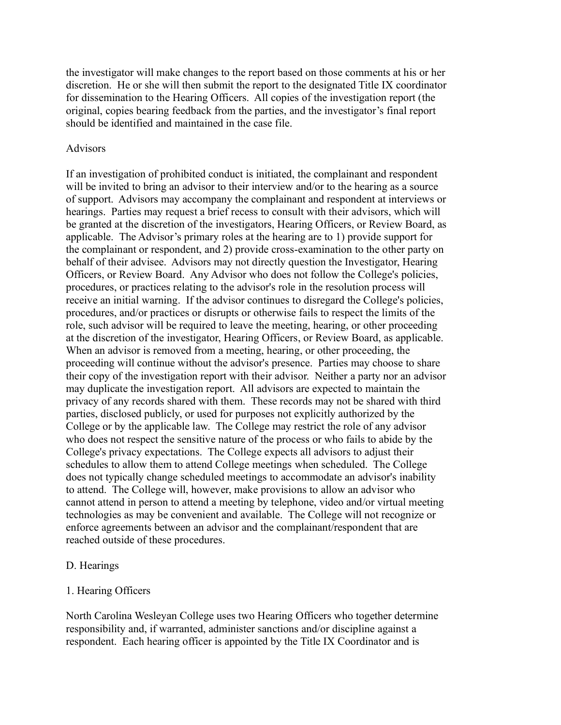the investigator will make changes to the report based on those comments at his or her discretion. He or she will then submit the report to the designated Title IX coordinator for dissemination to the Hearing Officers. All copies of the investigation report (the original, copies bearing feedback from the parties, and the investigator's final report should be identified and maintained in the case file.

#### Advisors

If an investigation of prohibited conduct is initiated, the complainant and respondent will be invited to bring an advisor to their interview and/or to the hearing as a source of support. Advisors may accompany the complainant and respondent at interviews or hearings. Parties may request a brief recess to consult with their advisors, which will be granted at the discretion of the investigators, Hearing Officers, or Review Board, as applicable. The Advisor's primary roles at the hearing are to 1) provide support for the complainant or respondent, and 2) provide cross-examination to the other party on behalf of their advisee. Advisors may not directly question the Investigator, Hearing Officers, or Review Board. Any Advisor who does not follow the College's policies, procedures, or practices relating to the advisor's role in the resolution process will receive an initial warning. If the advisor continues to disregard the College's policies, procedures, and/or practices or disrupts or otherwise fails to respect the limits of the role, such advisor will be required to leave the meeting, hearing, or other proceeding at the discretion of the investigator, Hearing Officers, or Review Board, as applicable. When an advisor is removed from a meeting, hearing, or other proceeding, the proceeding will continue without the advisor's presence. Parties may choose to share their copy of the investigation report with their advisor. Neither a party nor an advisor may duplicate the investigation report. All advisors are expected to maintain the privacy of any records shared with them. These records may not be shared with third parties, disclosed publicly, or used for purposes not explicitly authorized by the College or by the applicable law. The College may restrict the role of any advisor who does not respect the sensitive nature of the process or who fails to abide by the College's privacy expectations. The College expects all advisors to adjust their schedules to allow them to attend College meetings when scheduled. The College does not typically change scheduled meetings to accommodate an advisor's inability to attend. The College will, however, make provisions to allow an advisor who cannot attend in person to attend a meeting by telephone, video and/or virtual meeting technologies as may be convenient and available. The College will not recognize or enforce agreements between an advisor and the complainant/respondent that are reached outside of these procedures.

#### D. Hearings

#### 1. Hearing Officers

North Carolina Wesleyan College uses two Hearing Officers who together determine responsibility and, if warranted, administer sanctions and/or discipline against a respondent. Each hearing officer is appointed by the Title IX Coordinator and is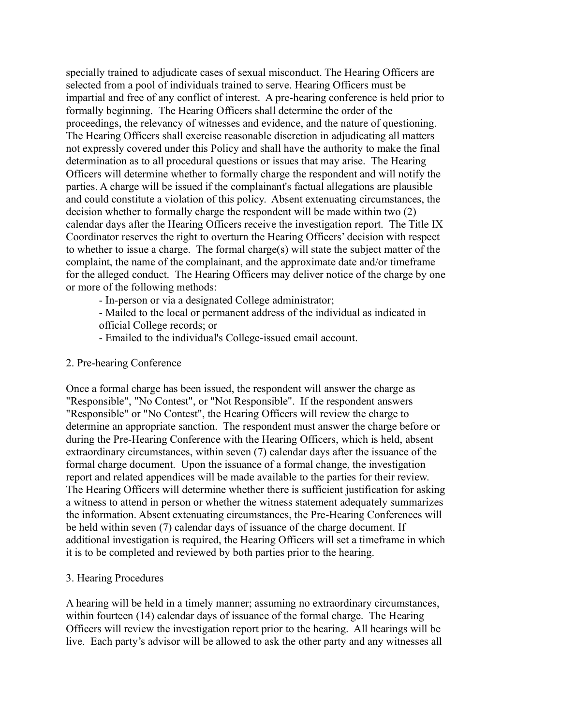specially trained to adjudicate cases of sexual misconduct. The Hearing Officers are selected from a pool of individuals trained to serve. Hearing Officers must be impartial and free of any conflict of interest. A pre-hearing conference is held prior to formally beginning. The Hearing Officers shall determine the order of the proceedings, the relevancy of witnesses and evidence, and the nature of questioning. The Hearing Officers shall exercise reasonable discretion in adjudicating all matters not expressly covered under this Policy and shall have the authority to make the final determination as to all procedural questions or issues that may arise. The Hearing Officers will determine whether to formally charge the respondent and will notify the parties. A charge will be issued if the complainant's factual allegations are plausible and could constitute a violation of this policy. Absent extenuating circumstances, the decision whether to formally charge the respondent will be made within two (2) calendar days after the Hearing Officers receive the investigation report. The Title IX Coordinator reserves the right to overturn the Hearing Officers' decision with respect to whether to issue a charge. The formal charge(s) will state the subject matter of the complaint, the name of the complainant, and the approximate date and/or timeframe for the alleged conduct. The Hearing Officers may deliver notice of the charge by one or more of the following methods:

- In-person or via a designated College administrator;
- Mailed to the local or permanent address of the individual as indicated in official College records; or
- Emailed to the individual's College-issued email account.

#### 2. Pre-hearing Conference

Once a formal charge has been issued, the respondent will answer the charge as "Responsible", "No Contest", or "Not Responsible". If the respondent answers "Responsible" or "No Contest", the Hearing Officers will review the charge to determine an appropriate sanction. The respondent must answer the charge before or during the Pre-Hearing Conference with the Hearing Officers, which is held, absent extraordinary circumstances, within seven (7) calendar days after the issuance of the formal charge document. Upon the issuance of a formal change, the investigation report and related appendices will be made available to the parties for their review. The Hearing Officers will determine whether there is sufficient justification for asking a witness to attend in person or whether the witness statement adequately summarizes the information. Absent extenuating circumstances, the Pre-Hearing Conferences will be held within seven (7) calendar days of issuance of the charge document. If additional investigation is required, the Hearing Officers will set a timeframe in which it is to be completed and reviewed by both parties prior to the hearing.

#### 3. Hearing Procedures

A hearing will be held in a timely manner; assuming no extraordinary circumstances, within fourteen (14) calendar days of issuance of the formal charge. The Hearing Officers will review the investigation report prior to the hearing. All hearings will be live. Each party's advisor will be allowed to ask the other party and any witnesses all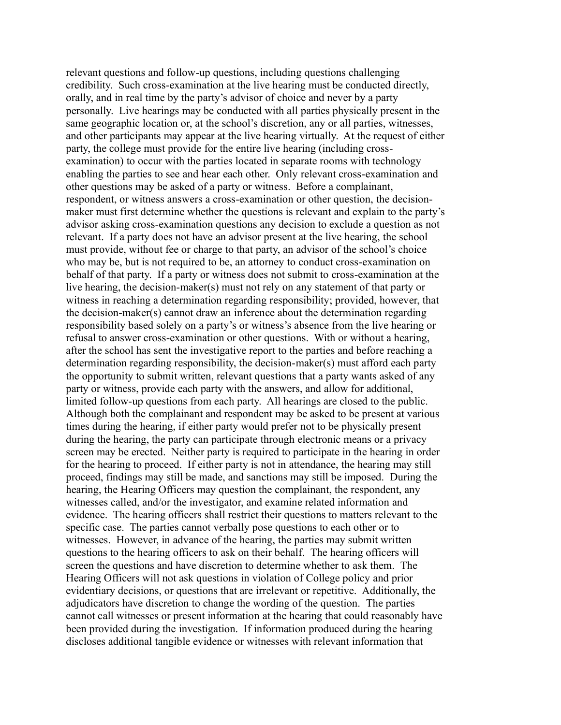relevant questions and follow-up questions, including questions challenging credibility. Such cross-examination at the live hearing must be conducted directly, orally, and in real time by the party's advisor of choice and never by a party personally. Live hearings may be conducted with all parties physically present in the same geographic location or, at the school's discretion, any or all parties, witnesses, and other participants may appear at the live hearing virtually. At the request of either party, the college must provide for the entire live hearing (including crossexamination) to occur with the parties located in separate rooms with technology enabling the parties to see and hear each other. Only relevant cross-examination and other questions may be asked of a party or witness. Before a complainant, respondent, or witness answers a cross-examination or other question, the decisionmaker must first determine whether the questions is relevant and explain to the party's advisor asking cross-examination questions any decision to exclude a question as not relevant. If a party does not have an advisor present at the live hearing, the school must provide, without fee or charge to that party, an advisor of the school's choice who may be, but is not required to be, an attorney to conduct cross-examination on behalf of that party. If a party or witness does not submit to cross-examination at the live hearing, the decision-maker(s) must not rely on any statement of that party or witness in reaching a determination regarding responsibility; provided, however, that the decision-maker(s) cannot draw an inference about the determination regarding responsibility based solely on a party's or witness's absence from the live hearing or refusal to answer cross-examination or other questions. With or without a hearing, after the school has sent the investigative report to the parties and before reaching a determination regarding responsibility, the decision-maker(s) must afford each party the opportunity to submit written, relevant questions that a party wants asked of any party or witness, provide each party with the answers, and allow for additional, limited follow-up questions from each party. All hearings are closed to the public. Although both the complainant and respondent may be asked to be present at various times during the hearing, if either party would prefer not to be physically present during the hearing, the party can participate through electronic means or a privacy screen may be erected. Neither party is required to participate in the hearing in order for the hearing to proceed. If either party is not in attendance, the hearing may still proceed, findings may still be made, and sanctions may still be imposed. During the hearing, the Hearing Officers may question the complainant, the respondent, any witnesses called, and/or the investigator, and examine related information and evidence. The hearing officers shall restrict their questions to matters relevant to the specific case. The parties cannot verbally pose questions to each other or to witnesses. However, in advance of the hearing, the parties may submit written questions to the hearing officers to ask on their behalf. The hearing officers will screen the questions and have discretion to determine whether to ask them. The Hearing Officers will not ask questions in violation of College policy and prior evidentiary decisions, or questions that are irrelevant or repetitive. Additionally, the adjudicators have discretion to change the wording of the question. The parties cannot call witnesses or present information at the hearing that could reasonably have been provided during the investigation. If information produced during the hearing discloses additional tangible evidence or witnesses with relevant information that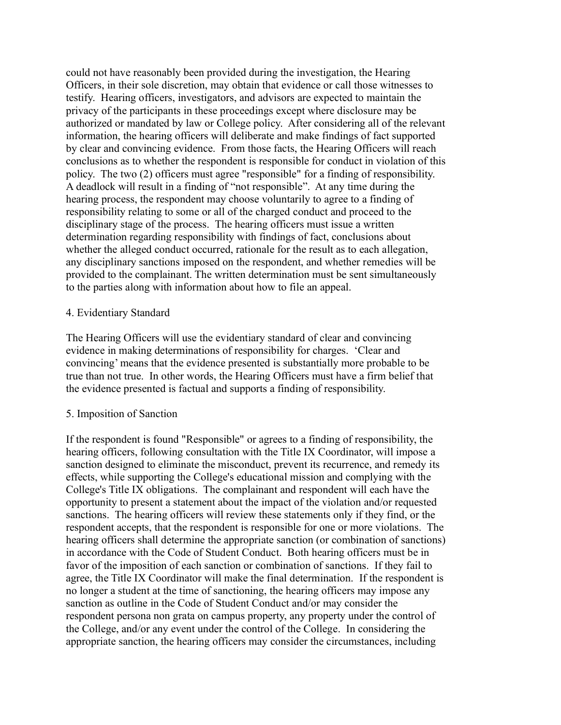could not have reasonably been provided during the investigation, the Hearing Officers, in their sole discretion, may obtain that evidence or call those witnesses to testify. Hearing officers, investigators, and advisors are expected to maintain the privacy of the participants in these proceedings except where disclosure may be authorized or mandated by law or College policy. After considering all of the relevant information, the hearing officers will deliberate and make findings of fact supported by clear and convincing evidence. From those facts, the Hearing Officers will reach conclusions as to whether the respondent is responsible for conduct in violation of this policy. The two (2) officers must agree "responsible" for a finding of responsibility. A deadlock will result in a finding of "not responsible". At any time during the hearing process, the respondent may choose voluntarily to agree to a finding of responsibility relating to some or all of the charged conduct and proceed to the disciplinary stage of the process. The hearing officers must issue a written determination regarding responsibility with findings of fact, conclusions about whether the alleged conduct occurred, rationale for the result as to each allegation, any disciplinary sanctions imposed on the respondent, and whether remedies will be provided to the complainant. The written determination must be sent simultaneously to the parties along with information about how to file an appeal.

#### 4. Evidentiary Standard

The Hearing Officers will use the evidentiary standard of clear and convincing evidence in making determinations of responsibility for charges. 'Clear and convincing' means that the evidence presented is substantially more probable to be true than not true. In other words, the Hearing Officers must have a firm belief that the evidence presented is factual and supports a finding of responsibility.

#### 5. Imposition of Sanction

If the respondent is found "Responsible" or agrees to a finding of responsibility, the hearing officers, following consultation with the Title IX Coordinator, will impose a sanction designed to eliminate the misconduct, prevent its recurrence, and remedy its effects, while supporting the College's educational mission and complying with the College's Title IX obligations. The complainant and respondent will each have the opportunity to present a statement about the impact of the violation and/or requested sanctions. The hearing officers will review these statements only if they find, or the respondent accepts, that the respondent is responsible for one or more violations. The hearing officers shall determine the appropriate sanction (or combination of sanctions) in accordance with the Code of Student Conduct. Both hearing officers must be in favor of the imposition of each sanction or combination of sanctions. If they fail to agree, the Title IX Coordinator will make the final determination. If the respondent is no longer a student at the time of sanctioning, the hearing officers may impose any sanction as outline in the Code of Student Conduct and/or may consider the respondent persona non grata on campus property, any property under the control of the College, and/or any event under the control of the College. In considering the appropriate sanction, the hearing officers may consider the circumstances, including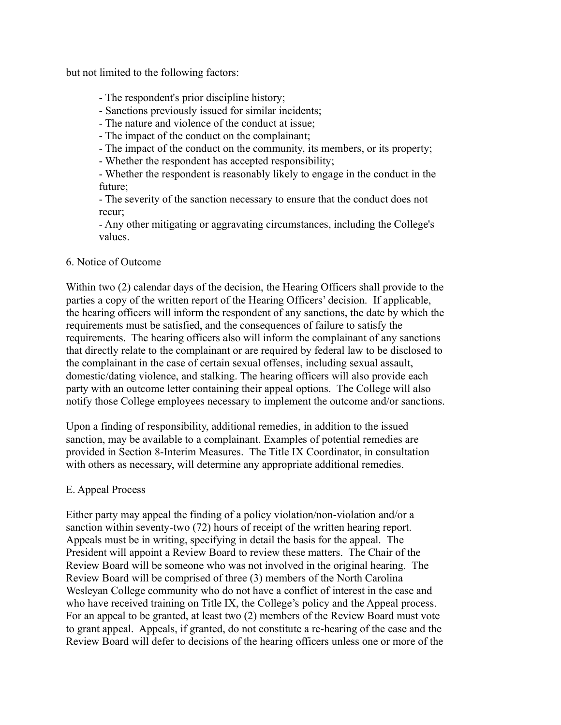but not limited to the following factors:

- The respondent's prior discipline history;
- Sanctions previously issued for similar incidents;
- The nature and violence of the conduct at issue;
- The impact of the conduct on the complainant;
- The impact of the conduct on the community, its members, or its property;
- Whether the respondent has accepted responsibility;

- Whether the respondent is reasonably likely to engage in the conduct in the future;

- The severity of the sanction necessary to ensure that the conduct does not recur;

- Any other mitigating or aggravating circumstances, including the College's values.

### 6. Notice of Outcome

Within two (2) calendar days of the decision, the Hearing Officers shall provide to the parties a copy of the written report of the Hearing Officers' decision. If applicable, the hearing officers will inform the respondent of any sanctions, the date by which the requirements must be satisfied, and the consequences of failure to satisfy the requirements. The hearing officers also will inform the complainant of any sanctions that directly relate to the complainant or are required by federal law to be disclosed to the complainant in the case of certain sexual offenses, including sexual assault, domestic/dating violence, and stalking. The hearing officers will also provide each party with an outcome letter containing their appeal options. The College will also notify those College employees necessary to implement the outcome and/or sanctions.

Upon a finding of responsibility, additional remedies, in addition to the issued sanction, may be available to a complainant. Examples of potential remedies are provided in Section 8-Interim Measures. The Title IX Coordinator, in consultation with others as necessary, will determine any appropriate additional remedies.

### E. Appeal Process

Either party may appeal the finding of a policy violation/non-violation and/or a sanction within seventy-two (72) hours of receipt of the written hearing report. Appeals must be in writing, specifying in detail the basis for the appeal. The President will appoint a Review Board to review these matters. The Chair of the Review Board will be someone who was not involved in the original hearing. The Review Board will be comprised of three (3) members of the North Carolina Wesleyan College community who do not have a conflict of interest in the case and who have received training on Title IX, the College's policy and the Appeal process. For an appeal to be granted, at least two (2) members of the Review Board must vote to grant appeal. Appeals, if granted, do not constitute a re-hearing of the case and the Review Board will defer to decisions of the hearing officers unless one or more of the